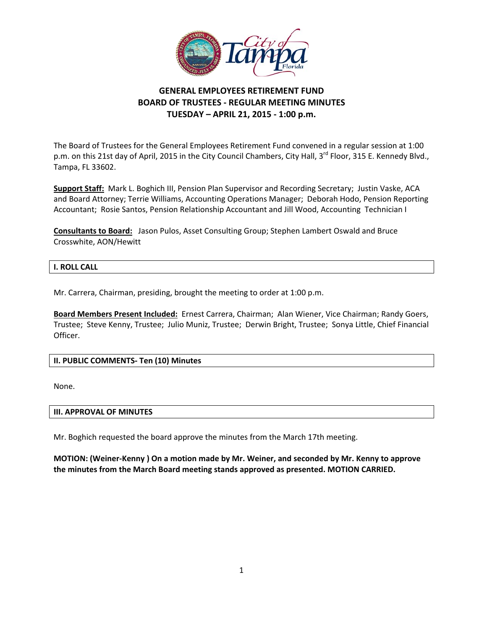

# **GENERAL EMPLOYEES RETIREMENT FUND BOARD OF TRUSTEES ‐ REGULAR MEETING MINUTES TUESDAY – APRIL 21, 2015 ‐ 1:00 p.m.**

 The Board of Trustees for the General Employees Retirement Fund convened in a regular session at 1:00 p.m. on this 21st day of April, 2015 in the City Council Chambers, City Hall, 3<sup>rd</sup> Floor, 315 E. Kennedy Blvd., Tampa, FL 33602.

 **Support Staff:** Mark L. Boghich III, Pension Plan Supervisor and Recording Secretary; Justin Vaske, ACA and Board Attorney; Terrie Williams, Accounting Operations Manager; Deborah Hodo, Pension Reporting Accountant; Rosie Santos, Pension Relationship Accountant and Jill Wood, Accounting Technician I

 **Consultants to Board:** Jason Pulos, Asset Consulting Group; Stephen Lambert Oswald and Bruce Crosswhite, AON/Hewitt

## **I. ROLL CALL**

Mr. Carrera, Chairman, presiding, brought the meeting to order at 1:00 p.m.

 **Board Members Present Included:** Ernest Carrera, Chairman; Alan Wiener, Vice Chairman; Randy Goers, Trustee; Steve Kenny, Trustee; Julio Muniz, Trustee; Derwin Bright, Trustee; Sonya Little, Chief Financial Officer.

## **II. PUBLIC COMMENTS‐ Ten (10) Minutes**

None.

## **III. APPROVAL OF MINUTES**

Mr. Boghich requested the board approve the minutes from the March 17th meeting.

MOTION: (Weiner-Kenny) On a motion made by Mr. Weiner, and seconded by Mr. Kenny to approve  **the minutes from the March Board meeting stands approved as presented. MOTION CARRIED.**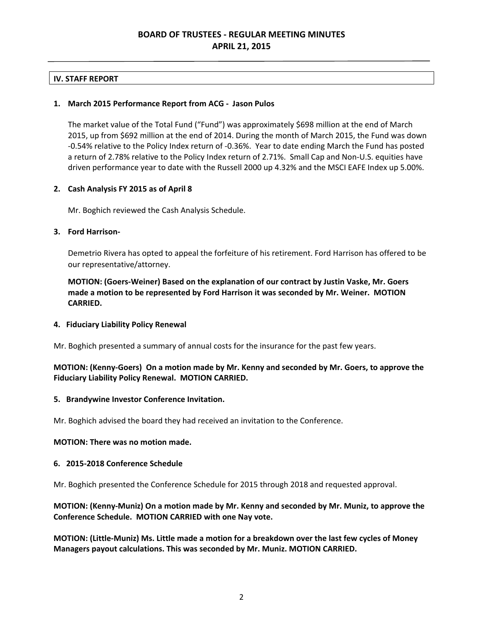# **BOARD OF TRUSTEES ‐ REGULAR MEETING MINUTES APRIL 21, 2015**

## **IV. STAFF REPORT**

## **1. March 2015 Performance Report from ACG ‐ Jason Pulos**

 The market value of the Total Fund ("Fund") was approximately \$698 million at the end of March 2015, up from \$692 million at the end of 2014. During the month of March 2015, the Fund was down ‐0.54% relative to the Policy Index return of ‐0.36%. Year to date ending March the Fund has posted a return of 2.78% relative to the Policy Index return of 2.71%. Small Cap and Non‐U.S. equities have driven performance year to date with the Russell 2000 up 4.32% and the MSCI EAFE Index up 5.00%.

## **2. Cash Analysis FY 2015 as of April 8**

Mr. Boghich reviewed the Cash Analysis Schedule.

### **3. Ford Harrison‐**

 Demetrio Rivera has opted to appeal the forfeiture of his retirement. Ford Harrison has offered to be our representative/attorney.

MOTION: (Goers-Weiner) Based on the explanation of our contract by Justin Vaske, Mr. Goers made a motion to be represented by Ford Harrison it was seconded by Mr. Weiner. MOTION **CARRIED.**

## **4. Fiduciary Liability Policy Renewal**

Mr. Boghich presented a summary of annual costs for the insurance for the past few years.

## MOTION: (Kenny-Goers) On a motion made by Mr. Kenny and seconded by Mr. Goers, to approve the  **Fiduciary Liability Policy Renewal. MOTION CARRIED.**

## **5. Brandywine Investor Conference Invitation.**

Mr. Boghich advised the board they had received an invitation to the Conference.

### **MOTION: There was no motion made.**

#### **6. 2015‐2018 Conference Schedule**

Mr. Boghich presented the Conference Schedule for 2015 through 2018 and requested approval.

## MOTION: (Kenny-Muniz) On a motion made by Mr. Kenny and seconded by Mr. Muniz, to approve the  **Conference Schedule. MOTION CARRIED with one Nay vote.**

MOTION: (Little-Muniz) Ms. Little made a motion for a breakdown over the last few cycles of Money  **Managers payout calculations. This was seconded by Mr. Muniz. MOTION CARRIED.**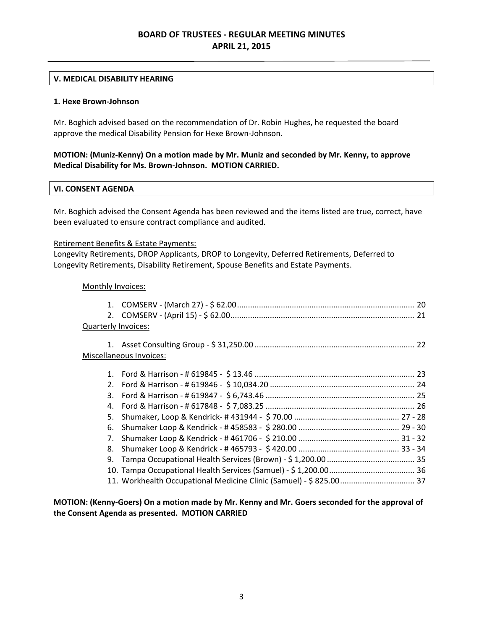# **BOARD OF TRUSTEES ‐ REGULAR MEETING MINUTES APRIL 21, 2015**

## **V. MEDICAL DISABILITY HEARING**

### **1. Hexe Brown‐Johnson**

 Mr. Boghich advised based on the recommendation of Dr. Robin Hughes, he requested the board approve the medical Disability Pension for Hexe Brown‐Johnson.

## MOTION: (Muniz-Kenny) On a motion made by Mr. Muniz and seconded by Mr. Kenny, to approve  **Medical Disability for Ms. Brown‐Johnson. MOTION CARRIED.**

## **VI. CONSENT AGENDA**

 Mr. Boghich advised the Consent Agenda has been reviewed and the items listed are true, correct, have been evaluated to ensure contract compliance and audited.

## Retirement Benefits & Estate Payments:

 Longevity Retirements, DROP Applicants, DROP to Longevity, Deferred Retirements, Deferred to Longevity Retirements, Disability Retirement, Spouse Benefits and Estate Payments.

## Monthly Invoices:

| Quarterly Invoices:     |    |  |  |
|-------------------------|----|--|--|
|                         |    |  |  |
|                         |    |  |  |
| Miscellaneous Invoices: |    |  |  |
|                         |    |  |  |
|                         |    |  |  |
|                         |    |  |  |
|                         |    |  |  |
|                         |    |  |  |
|                         | 5. |  |  |
|                         | 6. |  |  |
|                         | 7. |  |  |
|                         | 8. |  |  |
|                         | 9. |  |  |
|                         |    |  |  |
|                         |    |  |  |
|                         |    |  |  |

MOTION: (Kenny-Goers) On a motion made by Mr. Kenny and Mr. Goers seconded for the approval of  **the Consent Agenda as presented. MOTION CARRIED**